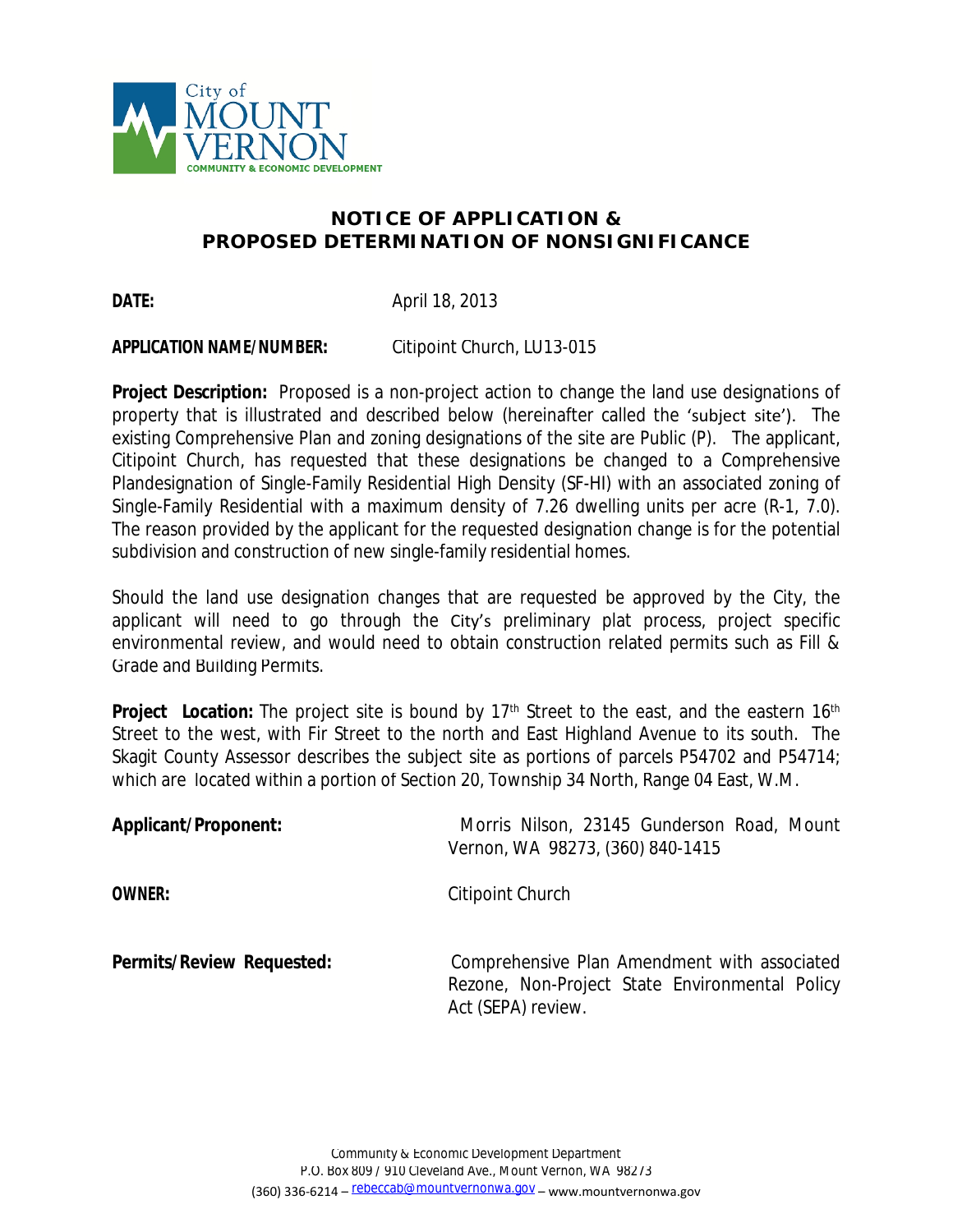

## **NOTICE OF APPLICATION & PROPOSED DETERMINATION OF NONSIGNIFICANCE**

**DATE:** April 18, 2013

## **APPLICATION NAME/NUMBER:** Citipoint Church, LU13-015

**Project Description:** Proposed is a non-project action to change the land use designations of property that is illustrated and described below (hereinafter called the 'subject site'). The existing Comprehensive Plan and zoning designations of the site are Public (P). The applicant, Citipoint Church, has requested that these designations be changed to a Comprehensive Plandesignation of Single-Family Residential High Density (SF-HI) with an associated zoning of Single-Family Residential with a maximum density of 7.26 dwelling units per acre (R-1, 7.0). The reason provided by the applicant for the requested designation change is for the potential subdivision and construction of new single-family residential homes.

Should the land use designation changes that are requested be approved by the City, the applicant will need to go through the City's preliminary plat process, project specific environmental review, and would need to obtain construction related permits such as Fill & Grade and Building Permits.

**Project Location:** The project site is bound by 17<sup>th</sup> Street to the east, and the eastern 16<sup>th</sup> Street to the west, with Fir Street to the north and East Highland Avenue to its south. The Skagit County Assessor describes the subject site as portions of parcels P54702 and P54714; which are located within a portion of Section 20, Township 34 North, Range 04 East, W.M.

| <b>Applicant/Proponent:</b>      | Morris Nilson, 23145 Gunderson Road, Mount<br>Vernon, WA 98273, (360) 840-1415                                       |
|----------------------------------|----------------------------------------------------------------------------------------------------------------------|
| <b>OWNER:</b>                    | Citipoint Church                                                                                                     |
| <b>Permits/Review Requested:</b> | Comprehensive Plan Amendment with associated<br>Rezone, Non-Project State Environmental Policy<br>Act (SEPA) review. |